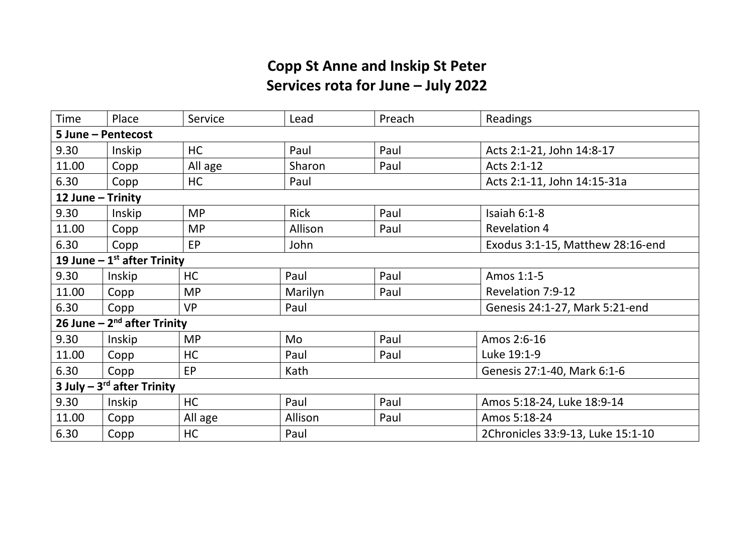## **Copp St Anne and Inskip St Peter Services rota for June – July 2022**

| Time                           | Place  | Service   | Lead        | Preach | Readings                          |  |  |  |  |
|--------------------------------|--------|-----------|-------------|--------|-----------------------------------|--|--|--|--|
| 5 June - Pentecost             |        |           |             |        |                                   |  |  |  |  |
| 9.30                           | Inskip | <b>HC</b> | Paul        | Paul   | Acts 2:1-21, John 14:8-17         |  |  |  |  |
| 11.00                          | Copp   | All age   | Sharon      | Paul   | Acts 2:1-12                       |  |  |  |  |
| 6.30                           | Copp   | <b>HC</b> | Paul        |        | Acts 2:1-11, John 14:15-31a       |  |  |  |  |
| 12 June - Trinity              |        |           |             |        |                                   |  |  |  |  |
| 9.30                           | Inskip | <b>MP</b> | <b>Rick</b> | Paul   | Isaiah 6:1-8                      |  |  |  |  |
| 11.00                          | Copp   | <b>MP</b> | Allison     | Paul   | <b>Revelation 4</b>               |  |  |  |  |
| 6.30                           | Copp   | EP        | John        |        | Exodus 3:1-15, Matthew 28:16-end  |  |  |  |  |
| 19 June $-1st$ after Trinity   |        |           |             |        |                                   |  |  |  |  |
| 9.30                           | Inskip | <b>HC</b> | Paul        | Paul   | Amos 1:1-5                        |  |  |  |  |
| 11.00                          | Copp   | <b>MP</b> | Marilyn     | Paul   | Revelation 7:9-12                 |  |  |  |  |
| 6.30                           | Copp   | <b>VP</b> | Paul        |        | Genesis 24:1-27, Mark 5:21-end    |  |  |  |  |
| 26 June $-2nd$ after Trinity   |        |           |             |        |                                   |  |  |  |  |
| 9.30                           | Inskip | <b>MP</b> | Mo          | Paul   | Amos 2:6-16                       |  |  |  |  |
| 11.00                          | Copp   | HC        | Paul        | Paul   | Luke 19:1-9                       |  |  |  |  |
| 6.30                           | Copp   | EP        | Kath        |        | Genesis 27:1-40, Mark 6:1-6       |  |  |  |  |
| 3 July $-3^{rd}$ after Trinity |        |           |             |        |                                   |  |  |  |  |
| 9.30                           | Inskip | HC        | Paul        | Paul   | Amos 5:18-24, Luke 18:9-14        |  |  |  |  |
| 11.00                          | Copp   | All age   | Allison     | Paul   | Amos 5:18-24                      |  |  |  |  |
| 6.30                           | Copp   | HC        | Paul        |        | 2Chronicles 33:9-13, Luke 15:1-10 |  |  |  |  |